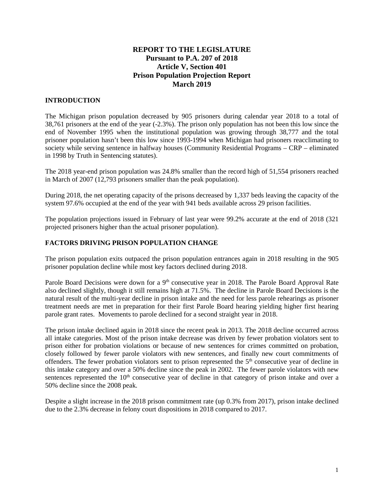# **REPORT TO THE LEGISLATURE Pursuant to P.A. 207 of 2018 Article V, Section 401 Prison Population Projection Report March 2019**

# **INTRODUCTION**

The Michigan prison population decreased by 905 prisoners during calendar year 2018 to a total of 38,761 prisoners at the end of the year (-2.3%). The prison only population has not been this low since the end of November 1995 when the institutional population was growing through 38,777 and the total prisoner population hasn't been this low since 1993-1994 when Michigan had prisoners reacclimating to society while serving sentence in halfway houses (Community Residential Programs – CRP – eliminated in 1998 by Truth in Sentencing statutes).

The 2018 year-end prison population was 24.8% smaller than the record high of 51,554 prisoners reached in March of 2007 (12,793 prisoners smaller than the peak population).

During 2018, the net operating capacity of the prisons decreased by 1,337 beds leaving the capacity of the system 97.6% occupied at the end of the year with 941 beds available across 29 prison facilities.

The population projections issued in February of last year were 99.2% accurate at the end of 2018 (321 projected prisoners higher than the actual prisoner population).

### **FACTORS DRIVING PRISON POPULATION CHANGE**

The prison population exits outpaced the prison population entrances again in 2018 resulting in the 905 prisoner population decline while most key factors declined during 2018.

Parole Board Decisions were down for a 9<sup>th</sup> consecutive year in 2018. The Parole Board Approval Rate also declined slightly, though it still remains high at 71.5%. The decline in Parole Board Decisions is the natural result of the multi-year decline in prison intake and the need for less parole rehearings as prisoner treatment needs are met in preparation for their first Parole Board hearing yielding higher first hearing parole grant rates. Movements to parole declined for a second straight year in 2018.

The prison intake declined again in 2018 since the recent peak in 2013. The 2018 decline occurred across all intake categories. Most of the prison intake decrease was driven by fewer probation violators sent to prison either for probation violations or because of new sentences for crimes committed on probation, closely followed by fewer parole violators with new sentences, and finally new court commitments of offenders. The fewer probation violators sent to prison represented the 5<sup>th</sup> consecutive year of decline in this intake category and over a 50% decline since the peak in 2002. The fewer parole violators with new sentences represented the  $10<sup>th</sup>$  consecutive year of decline in that category of prison intake and over a 50% decline since the 2008 peak.

Despite a slight increase in the 2018 prison commitment rate (up 0.3% from 2017), prison intake declined due to the 2.3% decrease in felony court dispositions in 2018 compared to 2017.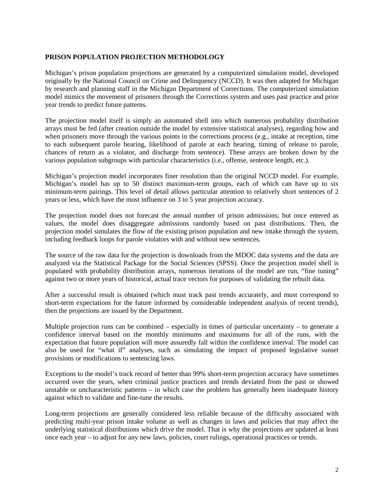# **PRISON POPULATION PROJECTION METHODOLOGY**

Michigan's prison population projections are generated by a computerized simulation model, developed originally by the National Council on Crime and Delinquency (NCCD). It was then adapted for Michigan by research and planning staff in the Michigan Department of Corrections. The computerized simulation model mimics the movement of prisoners through the Corrections system and uses past practice and prior year trends to predict future patterns.

The projection model itself is simply an automated shell into which numerous probability distribution arrays must be fed (after creation outside the model by extensive statistical analyses), regarding how and when prisoners move through the various points in the corrections process (e.g., intake at reception, time to each subsequent parole hearing, likelihood of parole at each hearing, timing of release to parole, chances of return as a violator, and discharge from sentence). These arrays are broken down by the various population subgroups with particular characteristics (i.e., offense, sentence length, etc.).

Michigan's projection model incorporates finer resolution than the original NCCD model. For example, Michigan's model has up to 50 distinct maximum-term groups, each of which can have up to six minimum-term pairings. This level of detail allows particular attention to relatively short sentences of 2 years or less, which have the most influence on 3 to 5 year projection accuracy.

The projection model does not forecast the annual number of prison admissions; but once entered as values, the model does disaggregate admissions randomly based on past distributions. Then, the projection model simulates the flow of the existing prison population and new intake through the system, including feedback loops for parole violators with and without new sentences.

The source of the raw data for the projection is downloads from the MDOC data systems and the data are analyzed via the Statistical Package for the Social Sciences (SPSS). Once the projection model shell is populated with probability distribution arrays, numerous iterations of the model are run, "fine tuning" against two or more years of historical, actual trace vectors for purposes of validating the rebuilt data.

After a successful result is obtained (which must track past trends accurately, and must correspond to short-term expectations for the future informed by considerable independent analysis of recent trends), then the projections are issued by the Department.

Multiple projection runs can be combined – especially in times of particular uncertainty – to generate a confidence interval based on the monthly minimums and maximums for all of the runs, with the expectation that future population will more assuredly fall within the confidence interval. The model can also be used for "what if" analyses, such as simulating the impact of proposed legislative sunset provisions or modifications to sentencing laws.

Exceptions to the model's track record of better than 99% short-term projection accuracy have sometimes occurred over the years, when criminal justice practices and trends deviated from the past or showed unstable or uncharacteristic patterns – in which case the problem has generally been inadequate history against which to validate and fine-tune the results.

Long-term projections are generally considered less reliable because of the difficulty associated with predicting multi-year prison intake volume as well as changes in laws and policies that may affect the underlying statistical distributions which drive the model. That is why the projections are updated at least once each year – to adjust for any new laws, policies, court rulings, operational practices or trends.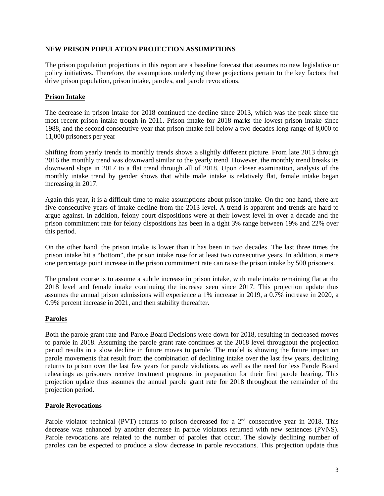#### **NEW PRISON POPULATION PROJECTION ASSUMPTIONS**

The prison population projections in this report are a baseline forecast that assumes no new legislative or policy initiatives. Therefore, the assumptions underlying these projections pertain to the key factors that drive prison population, prison intake, paroles, and parole revocations.

### **Prison Intake**

The decrease in prison intake for 2018 continued the decline since 2013, which was the peak since the most recent prison intake trough in 2011. Prison intake for 2018 marks the lowest prison intake since 1988, and the second consecutive year that prison intake fell below a two decades long range of 8,000 to 11,000 prisoners per year

Shifting from yearly trends to monthly trends shows a slightly different picture. From late 2013 through 2016 the monthly trend was downward similar to the yearly trend. However, the monthly trend breaks its downward slope in 2017 to a flat trend through all of 2018. Upon closer examination, analysis of the monthly intake trend by gender shows that while male intake is relatively flat, female intake began increasing in 2017.

Again this year, it is a difficult time to make assumptions about prison intake. On the one hand, there are five consecutive years of intake decline from the 2013 level. A trend is apparent and trends are hard to argue against. In addition, felony court dispositions were at their lowest level in over a decade and the prison commitment rate for felony dispositions has been in a tight 3% range between 19% and 22% over this period.

On the other hand, the prison intake is lower than it has been in two decades. The last three times the prison intake hit a "bottom", the prison intake rose for at least two consecutive years. In addition, a mere one percentage point increase in the prison commitment rate can raise the prison intake by 500 prisoners.

The prudent course is to assume a subtle increase in prison intake, with male intake remaining flat at the 2018 level and female intake continuing the increase seen since 2017. This projection update thus assumes the annual prison admissions will experience a 1% increase in 2019, a 0.7% increase in 2020, a 0.9% percent increase in 2021, and then stability thereafter.

# **Paroles**

Both the parole grant rate and Parole Board Decisions were down for 2018, resulting in decreased moves to parole in 2018. Assuming the parole grant rate continues at the 2018 level throughout the projection period results in a slow decline in future moves to parole. The model is showing the future impact on parole movements that result from the combination of declining intake over the last few years, declining returns to prison over the last few years for parole violations, as well as the need for less Parole Board rehearings as prisoners receive treatment programs in preparation for their first parole hearing. This projection update thus assumes the annual parole grant rate for 2018 throughout the remainder of the projection period.

### **Parole Revocations**

Parole violator technical (PVT) returns to prison decreased for a 2<sup>nd</sup> consecutive year in 2018. This decrease was enhanced by another decrease in parole violators returned with new sentences (PVNS). Parole revocations are related to the number of paroles that occur. The slowly declining number of paroles can be expected to produce a slow decrease in parole revocations. This projection update thus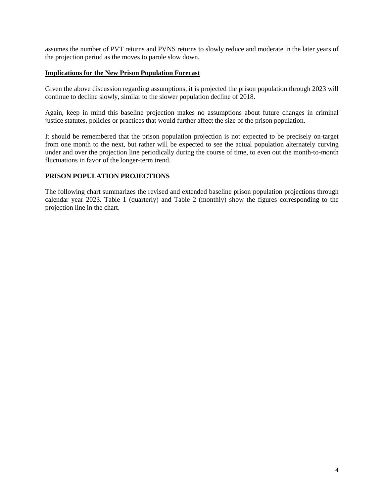assumes the number of PVT returns and PVNS returns to slowly reduce and moderate in the later years of the projection period as the moves to parole slow down.

#### **Implications for the New Prison Population Forecast**

Given the above discussion regarding assumptions, it is projected the prison population through 2023 will continue to decline slowly, similar to the slower population decline of 2018.

Again, keep in mind this baseline projection makes no assumptions about future changes in criminal justice statutes, policies or practices that would further affect the size of the prison population.

It should be remembered that the prison population projection is not expected to be precisely on-target from one month to the next, but rather will be expected to see the actual population alternately curving under and over the projection line periodically during the course of time, to even out the month-to-month fluctuations in favor of the longer-term trend.

## **PRISON POPULATION PROJECTIONS**

The following chart summarizes the revised and extended baseline prison population projections through calendar year 2023. Table 1 (quarterly) and Table 2 (monthly) show the figures corresponding to the projection line in the chart.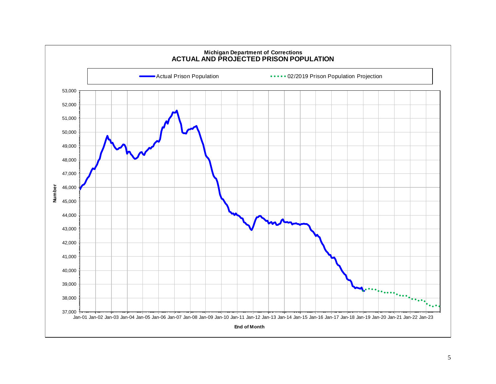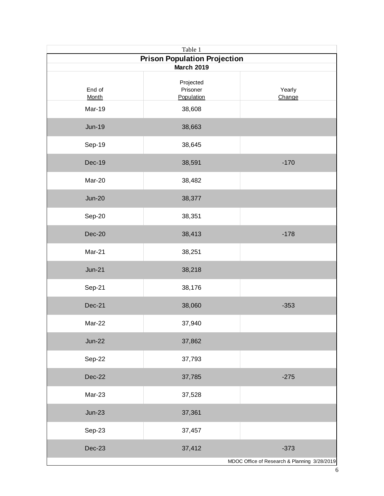| Table 1                                      |                                     |                  |
|----------------------------------------------|-------------------------------------|------------------|
| <b>Prison Population Projection</b>          |                                     |                  |
| <b>March 2019</b>                            |                                     |                  |
| End of<br><b>Month</b>                       | Projected<br>Prisoner<br>Population | Yearly<br>Change |
| <b>Mar-19</b>                                | 38,608                              |                  |
| <b>Jun-19</b>                                | 38,663                              |                  |
| Sep-19                                       | 38,645                              |                  |
| <b>Dec-19</b>                                | 38,591                              | $-170$           |
| Mar-20                                       | 38,482                              |                  |
| <b>Jun-20</b>                                | 38,377                              |                  |
| Sep-20                                       | 38,351                              |                  |
| $Dec-20$                                     | 38,413                              | $-178$           |
| Mar-21                                       | 38,251                              |                  |
| <b>Jun-21</b>                                | 38,218                              |                  |
| Sep-21                                       | 38,176                              |                  |
| Dec-21                                       | 38,060                              | $-353$           |
| Mar-22                                       | 37,940                              |                  |
| <b>Jun-22</b>                                | 37,862                              |                  |
| Sep-22                                       | 37,793                              |                  |
| <b>Dec-22</b>                                | 37,785                              | $-275$           |
| Mar-23                                       | 37,528                              |                  |
| $Jun-23$                                     | 37,361                              |                  |
| Sep-23                                       | 37,457                              |                  |
| <b>Dec-23</b>                                | 37,412                              | $-373$           |
| MDOC Office of Research & Planning 3/28/2019 |                                     |                  |